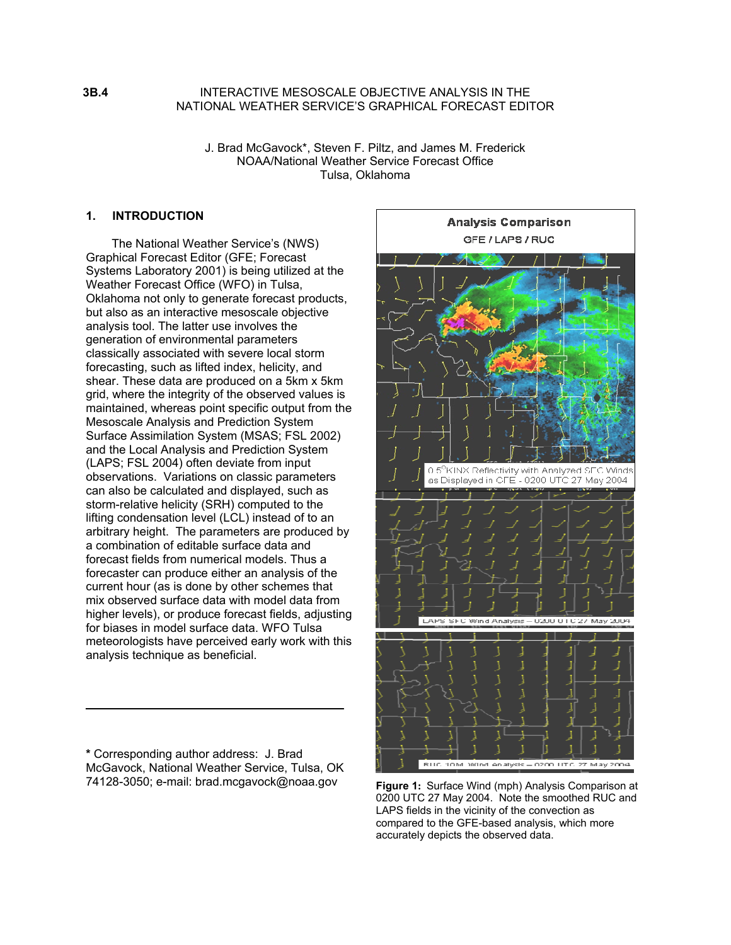INTERACTIVE MESOSCALE OBJECTIVE ANALYSIS IN THE NATIONAL WEATHER SERVICE'S GRAPHICAL FORECAST EDITOR

J. Brad McGavock\*, Steven F. Piltz, and James M. Frederick NOAA/National Weather Service Forecast Office Tulsa, Oklahoma

### **1. INTRODUCTION**

The National Weather Service's (NWS) Graphical Forecast Editor (GFE; Forecast Systems Laboratory 2001) is being utilized at the Weather Forecast Office (WFO) in Tulsa, Oklahoma not only to generate forecast products, but also as an interactive mesoscale objective analysis tool. The latter use involves the generation of environmental parameters classically associated with severe local storm forecasting, such as lifted index, helicity, and shear. These data are produced on a 5km x 5km grid, where the integrity of the observed values is maintained, whereas point specific output from the Mesoscale Analysis and Prediction System Surface Assimilation System (MSAS; FSL 2002) and the Local Analysis and Prediction System (LAPS; FSL 2004) often deviate from input observations. Variations on classic parameters can also be calculated and displayed, such as storm-relative helicity (SRH) computed to the lifting condensation level (LCL) instead of to an arbitrary height. The parameters are produced by a combination of editable surface data and forecast fields from numerical models. Thus a forecaster can produce either an analysis of the current hour (as is done by other schemes that mix observed surface data with model data from higher levels), or produce forecast fields, adjusting for biases in model surface data. WFO Tulsa meteorologists have perceived early work with this analysis technique as beneficial.

**\*** Corresponding author address: J. Brad McGavock, National Weather Service, Tulsa, OK 74128-3050; e-mail: brad.mcgavock@noaa.gov **Figure 1:** Surface Wind (mph) Analysis Comparison at



0200 UTC 27 May 2004. Note the smoothed RUC and LAPS fields in the vicinity of the convection as compared to the GFE-based analysis, which more accurately depicts the observed data.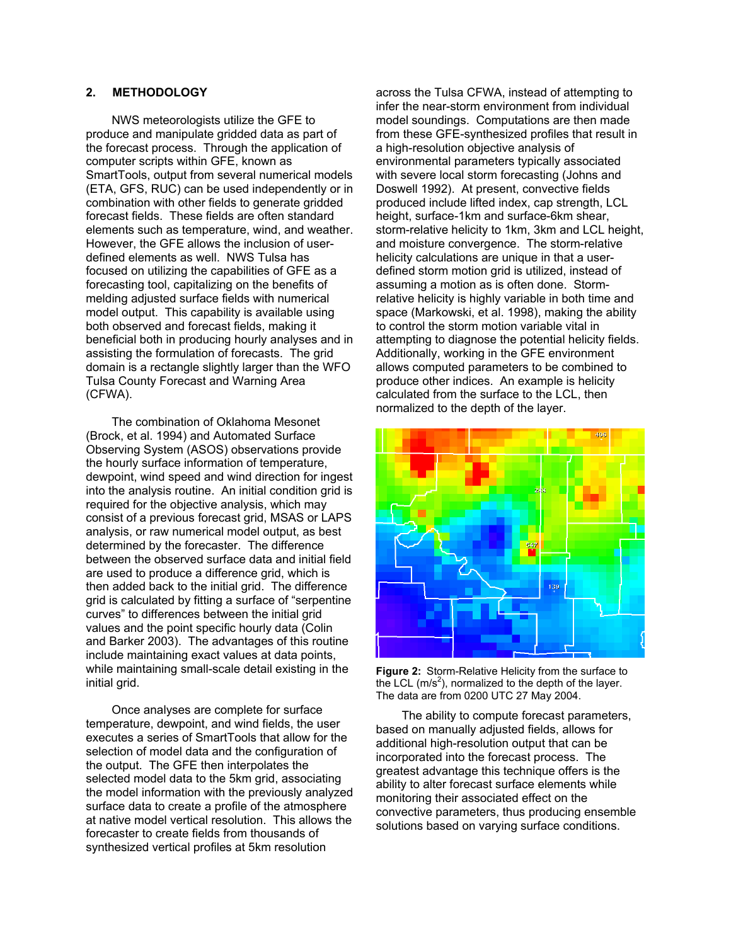# **2. METHODOLOGY**

NWS meteorologists utilize the GFE to produce and manipulate gridded data as part of the forecast process. Through the application of computer scripts within GFE, known as SmartTools, output from several numerical models (ETA, GFS, RUC) can be used independently or in combination with other fields to generate gridded forecast fields. These fields are often standard elements such as temperature, wind, and weather. However, the GFE allows the inclusion of userdefined elements as well. NWS Tulsa has focused on utilizing the capabilities of GFE as a forecasting tool, capitalizing on the benefits of melding adjusted surface fields with numerical model output. This capability is available using both observed and forecast fields, making it beneficial both in producing hourly analyses and in assisting the formulation of forecasts. The grid domain is a rectangle slightly larger than the WFO Tulsa County Forecast and Warning Area (CFWA).

The combination of Oklahoma Mesonet (Brock, et al. 1994) and Automated Surface Observing System (ASOS) observations provide the hourly surface information of temperature, dewpoint, wind speed and wind direction for ingest into the analysis routine. An initial condition grid is required for the objective analysis, which may consist of a previous forecast grid, MSAS or LAPS analysis, or raw numerical model output, as best determined by the forecaster. The difference between the observed surface data and initial field are used to produce a difference grid, which is then added back to the initial grid. The difference grid is calculated by fitting a surface of "serpentine curves" to differences between the initial grid values and the point specific hourly data (Colin and Barker 2003). The advantages of this routine include maintaining exact values at data points, while maintaining small-scale detail existing in the initial grid.

Once analyses are complete for surface temperature, dewpoint, and wind fields, the user executes a series of SmartTools that allow for the selection of model data and the configuration of the output. The GFE then interpolates the selected model data to the 5km grid, associating the model information with the previously analyzed surface data to create a profile of the atmosphere at native model vertical resolution. This allows the forecaster to create fields from thousands of synthesized vertical profiles at 5km resolution

across the Tulsa CFWA, instead of attempting to infer the near-storm environment from individual model soundings. Computations are then made from these GFE-synthesized profiles that result in a high-resolution objective analysis of environmental parameters typically associated with severe local storm forecasting (Johns and Doswell 1992). At present, convective fields produced include lifted index, cap strength, LCL height, surface-1km and surface-6km shear, storm-relative helicity to 1km, 3km and LCL height, and moisture convergence. The storm-relative helicity calculations are unique in that a userdefined storm motion grid is utilized, instead of assuming a motion as is often done. Stormrelative helicity is highly variable in both time and space (Markowski, et al. 1998), making the ability to control the storm motion variable vital in attempting to diagnose the potential helicity fields. Additionally, working in the GFE environment allows computed parameters to be combined to produce other indices. An example is helicity calculated from the surface to the LCL, then normalized to the depth of the layer.



**Figure 2:** Storm-Relative Helicity from the surface to the LCL  $(m/s^2)$ , normalized to the depth of the layer. The data are from 0200 UTC 27 May 2004.

The ability to compute forecast parameters, based on manually adjusted fields, allows for additional high-resolution output that can be incorporated into the forecast process. The greatest advantage this technique offers is the ability to alter forecast surface elements while monitoring their associated effect on the convective parameters, thus producing ensemble solutions based on varying surface conditions.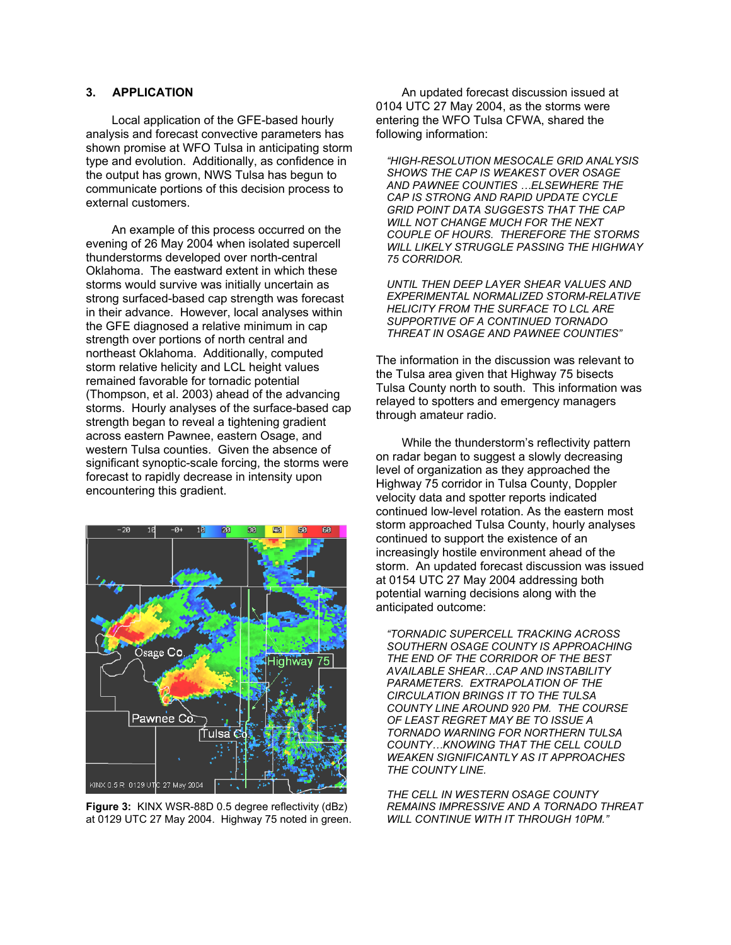## **3. APPLICATION**

Local application of the GFE-based hourly analysis and forecast convective parameters has shown promise at WFO Tulsa in anticipating storm type and evolution. Additionally, as confidence in the output has grown, NWS Tulsa has begun to communicate portions of this decision process to external customers.

An example of this process occurred on the evening of 26 May 2004 when isolated supercell thunderstorms developed over north-central Oklahoma. The eastward extent in which these storms would survive was initially uncertain as strong surfaced-based cap strength was forecast in their advance. However, local analyses within the GFE diagnosed a relative minimum in cap strength over portions of north central and northeast Oklahoma. Additionally, computed storm relative helicity and LCL height values remained favorable for tornadic potential (Thompson, et al. 2003) ahead of the advancing storms. Hourly analyses of the surface-based cap strength began to reveal a tightening gradient across eastern Pawnee, eastern Osage, and western Tulsa counties. Given the absence of significant synoptic-scale forcing, the storms were forecast to rapidly decrease in intensity upon encountering this gradient.



**Figure 3:** KINX WSR-88D 0.5 degree reflectivity (dBz) at 0129 UTC 27 May 2004. Highway 75 noted in green.

An updated forecast discussion issued at 0104 UTC 27 May 2004, as the storms were entering the WFO Tulsa CFWA, shared the following information:

*"HIGH-RESOLUTION MESOCALE GRID ANALYSIS SHOWS THE CAP IS WEAKEST OVER OSAGE AND PAWNEE COUNTIES …ELSEWHERE THE CAP IS STRONG AND RAPID UPDATE CYCLE GRID POINT DATA SUGGESTS THAT THE CAP WILL NOT CHANGE MUCH FOR THE NEXT COUPLE OF HOURS. THEREFORE THE STORMS WILL LIKELY STRUGGLE PASSING THE HIGHWAY 75 CORRIDOR.* 

*UNTIL THEN DEEP LAYER SHEAR VALUES AND EXPERIMENTAL NORMALIZED STORM-RELATIVE HELICITY FROM THE SURFACE TO LCL ARE SUPPORTIVE OF A CONTINUED TORNADO THREAT IN OSAGE AND PAWNEE COUNTIES"* 

The information in the discussion was relevant to the Tulsa area given that Highway 75 bisects Tulsa County north to south. This information was relayed to spotters and emergency managers through amateur radio.

While the thunderstorm's reflectivity pattern on radar began to suggest a slowly decreasing level of organization as they approached the Highway 75 corridor in Tulsa County, Doppler velocity data and spotter reports indicated continued low-level rotation. As the eastern most storm approached Tulsa County, hourly analyses continued to support the existence of an increasingly hostile environment ahead of the storm. An updated forecast discussion was issued at 0154 UTC 27 May 2004 addressing both potential warning decisions along with the anticipated outcome:

*"TORNADIC SUPERCELL TRACKING ACROSS SOUTHERN OSAGE COUNTY IS APPROACHING THE END OF THE CORRIDOR OF THE BEST AVAILABLE SHEAR…CAP AND INSTABILITY PARAMETERS. EXTRAPOLATION OF THE CIRCULATION BRINGS IT TO THE TULSA COUNTY LINE AROUND 920 PM. THE COURSE OF LEAST REGRET MAY BE TO ISSUE A TORNADO WARNING FOR NORTHERN TULSA COUNTY…KNOWING THAT THE CELL COULD WEAKEN SIGNIFICANTLY AS IT APPROACHES THE COUNTY LINE.* 

*THE CELL IN WESTERN OSAGE COUNTY REMAINS IMPRESSIVE AND A TORNADO THREAT WILL CONTINUE WITH IT THROUGH 10PM."*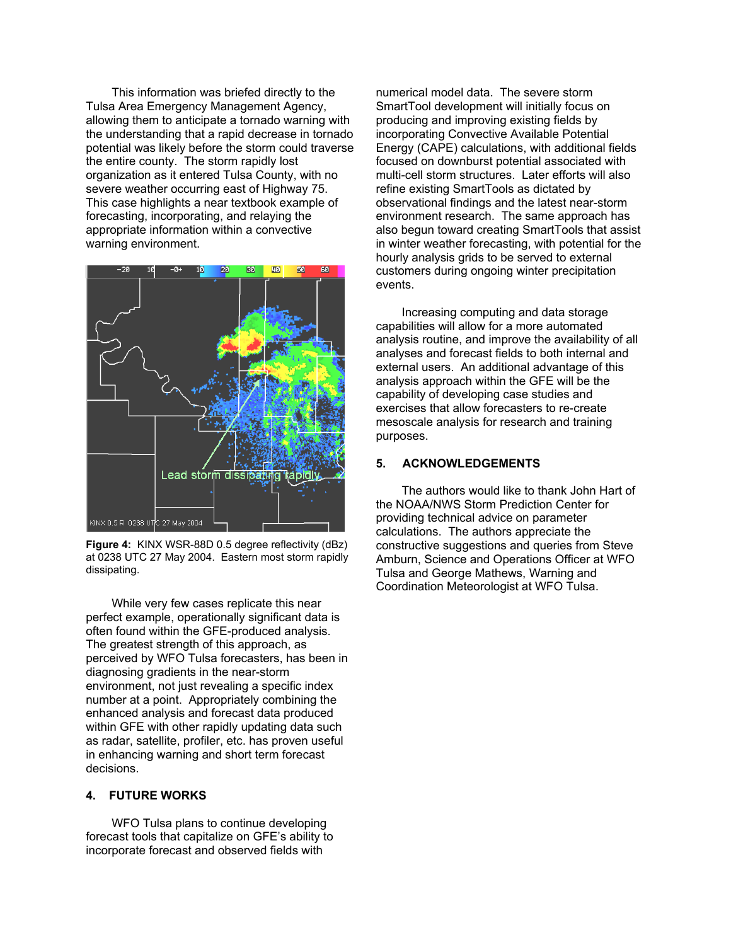This information was briefed directly to the Tulsa Area Emergency Management Agency, allowing them to anticipate a tornado warning with the understanding that a rapid decrease in tornado potential was likely before the storm could traverse the entire county. The storm rapidly lost organization as it entered Tulsa County, with no severe weather occurring east of Highway 75. This case highlights a near textbook example of forecasting, incorporating, and relaying the appropriate information within a convective warning environment.



**Figure 4:** KINX WSR-88D 0.5 degree reflectivity (dBz) at 0238 UTC 27 May 2004. Eastern most storm rapidly dissipating.

While very few cases replicate this near perfect example, operationally significant data is often found within the GFE-produced analysis. The greatest strength of this approach, as perceived by WFO Tulsa forecasters, has been in diagnosing gradients in the near-storm environment, not just revealing a specific index number at a point. Appropriately combining the enhanced analysis and forecast data produced within GFE with other rapidly updating data such as radar, satellite, profiler, etc. has proven useful in enhancing warning and short term forecast decisions.

### **4. FUTURE WORKS**

WFO Tulsa plans to continue developing forecast tools that capitalize on GFE's ability to incorporate forecast and observed fields with

numerical model data. The severe storm SmartTool development will initially focus on producing and improving existing fields by incorporating Convective Available Potential Energy (CAPE) calculations, with additional fields focused on downburst potential associated with multi-cell storm structures. Later efforts will also refine existing SmartTools as dictated by observational findings and the latest near-storm environment research. The same approach has also begun toward creating SmartTools that assist in winter weather forecasting, with potential for the hourly analysis grids to be served to external customers during ongoing winter precipitation events.

Increasing computing and data storage capabilities will allow for a more automated analysis routine, and improve the availability of all analyses and forecast fields to both internal and external users. An additional advantage of this analysis approach within the GFE will be the capability of developing case studies and exercises that allow forecasters to re-create mesoscale analysis for research and training purposes.

#### **5. ACKNOWLEDGEMENTS**

The authors would like to thank John Hart of the NOAA/NWS Storm Prediction Center for providing technical advice on parameter calculations. The authors appreciate the constructive suggestions and queries from Steve Amburn, Science and Operations Officer at WFO Tulsa and George Mathews, Warning and Coordination Meteorologist at WFO Tulsa.